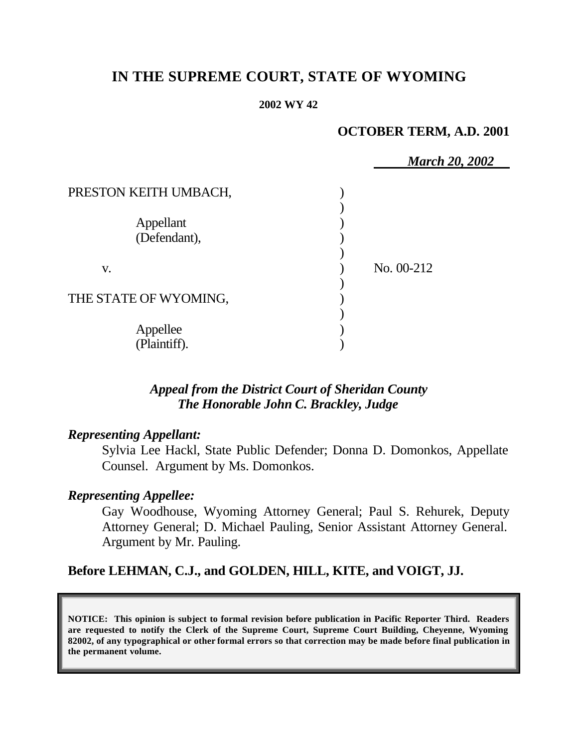# **IN THE SUPREME COURT, STATE OF WYOMING**

#### **2002 WY 42**

### **OCTOBER TERM, A.D. 2001**

|                       | <b>March 20, 2002</b> |  |
|-----------------------|-----------------------|--|
| PRESTON KEITH UMBACH, |                       |  |
|                       |                       |  |
| Appellant             |                       |  |
| (Defendant),          |                       |  |
|                       |                       |  |
| V.                    | No. 00-212            |  |
|                       |                       |  |
| THE STATE OF WYOMING, |                       |  |
|                       |                       |  |
| Appellee              |                       |  |
| (Plaintiff).          |                       |  |

### *Appeal from the District Court of Sheridan County The Honorable John C. Brackley, Judge*

### *Representing Appellant:*

Sylvia Lee Hackl, State Public Defender; Donna D. Domonkos, Appellate Counsel. Argument by Ms. Domonkos.

## *Representing Appellee:*

Gay Woodhouse, Wyoming Attorney General; Paul S. Rehurek, Deputy Attorney General; D. Michael Pauling, Senior Assistant Attorney General. Argument by Mr. Pauling.

## **Before LEHMAN, C.J., and GOLDEN, HILL, KITE, and VOIGT, JJ.**

**NOTICE: This opinion is subject to formal revision before publication in Pacific Reporter Third. Readers are requested to notify the Clerk of the Supreme Court, Supreme Court Building, Cheyenne, Wyoming 82002, of any typographical or other formal errors so that correction may be made before final publication in the permanent volume.**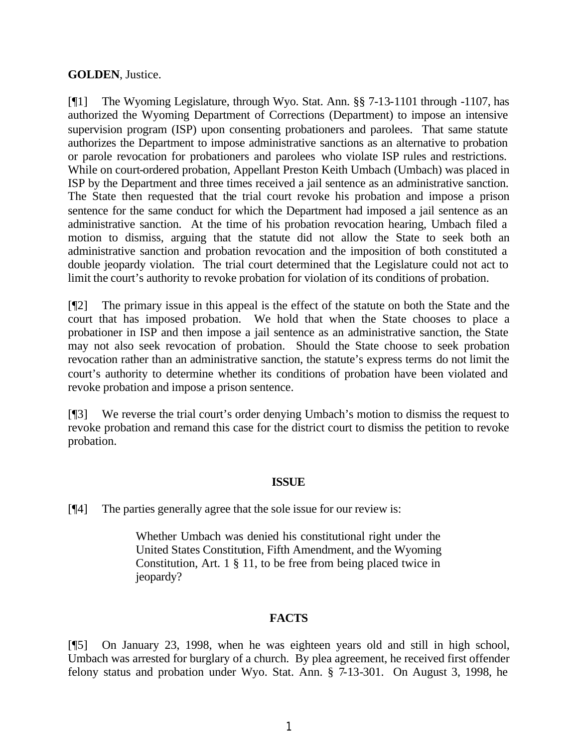#### **GOLDEN**, Justice.

[¶1] The Wyoming Legislature, through Wyo. Stat. Ann. §§ 7-13-1101 through -1107, has authorized the Wyoming Department of Corrections (Department) to impose an intensive supervision program (ISP) upon consenting probationers and parolees. That same statute authorizes the Department to impose administrative sanctions as an alternative to probation or parole revocation for probationers and parolees who violate ISP rules and restrictions. While on court-ordered probation, Appellant Preston Keith Umbach (Umbach) was placed in ISP by the Department and three times received a jail sentence as an administrative sanction. The State then requested that the trial court revoke his probation and impose a prison sentence for the same conduct for which the Department had imposed a jail sentence as an administrative sanction. At the time of his probation revocation hearing, Umbach filed a motion to dismiss, arguing that the statute did not allow the State to seek both an administrative sanction and probation revocation and the imposition of both constituted a double jeopardy violation. The trial court determined that the Legislature could not act to limit the court's authority to revoke probation for violation of its conditions of probation.

[¶2] The primary issue in this appeal is the effect of the statute on both the State and the court that has imposed probation. We hold that when the State chooses to place a probationer in ISP and then impose a jail sentence as an administrative sanction, the State may not also seek revocation of probation. Should the State choose to seek probation revocation rather than an administrative sanction, the statute's express terms do not limit the court's authority to determine whether its conditions of probation have been violated and revoke probation and impose a prison sentence.

[¶3] We reverse the trial court's order denying Umbach's motion to dismiss the request to revoke probation and remand this case for the district court to dismiss the petition to revoke probation.

#### **ISSUE**

[¶4] The parties generally agree that the sole issue for our review is:

Whether Umbach was denied his constitutional right under the United States Constitution, Fifth Amendment, and the Wyoming Constitution, Art. 1 § 11, to be free from being placed twice in jeopardy?

#### **FACTS**

[¶5] On January 23, 1998, when he was eighteen years old and still in high school, Umbach was arrested for burglary of a church. By plea agreement, he received first offender felony status and probation under Wyo. Stat. Ann. § 7-13-301. On August 3, 1998, he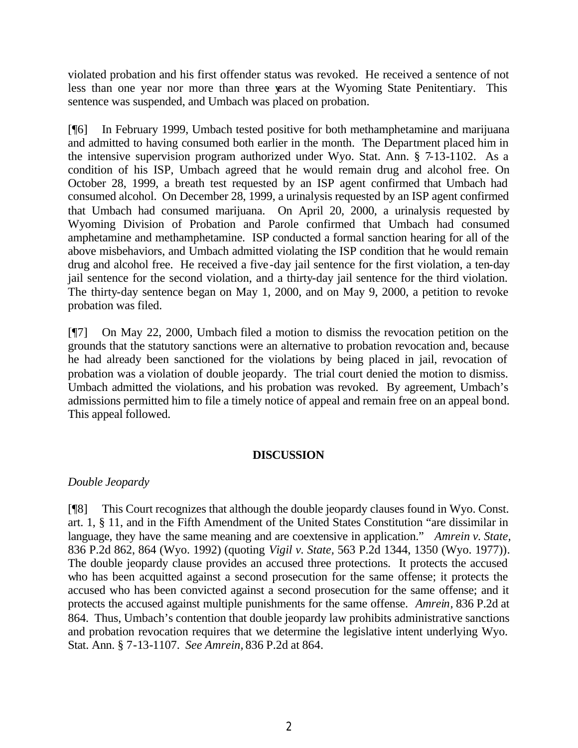violated probation and his first offender status was revoked. He received a sentence of not less than one year nor more than three years at the Wyoming State Penitentiary. This sentence was suspended, and Umbach was placed on probation.

[¶6] In February 1999, Umbach tested positive for both methamphetamine and marijuana and admitted to having consumed both earlier in the month. The Department placed him in the intensive supervision program authorized under Wyo. Stat. Ann. § 7-13-1102. As a condition of his ISP, Umbach agreed that he would remain drug and alcohol free. On October 28, 1999, a breath test requested by an ISP agent confirmed that Umbach had consumed alcohol. On December 28, 1999, a urinalysis requested by an ISP agent confirmed that Umbach had consumed marijuana. On April 20, 2000, a urinalysis requested by Wyoming Division of Probation and Parole confirmed that Umbach had consumed amphetamine and methamphetamine. ISP conducted a formal sanction hearing for all of the above misbehaviors, and Umbach admitted violating the ISP condition that he would remain drug and alcohol free. He received a five-day jail sentence for the first violation, a ten-day jail sentence for the second violation, and a thirty-day jail sentence for the third violation. The thirty-day sentence began on May 1, 2000, and on May 9, 2000, a petition to revoke probation was filed.

[¶7] On May 22, 2000, Umbach filed a motion to dismiss the revocation petition on the grounds that the statutory sanctions were an alternative to probation revocation and, because he had already been sanctioned for the violations by being placed in jail, revocation of probation was a violation of double jeopardy. The trial court denied the motion to dismiss. Umbach admitted the violations, and his probation was revoked. By agreement, Umbach's admissions permitted him to file a timely notice of appeal and remain free on an appeal bond. This appeal followed.

#### **DISCUSSION**

#### *Double Jeopardy*

[¶8] This Court recognizes that although the double jeopardy clauses found in Wyo. Const. art. 1, § 11, and in the Fifth Amendment of the United States Constitution "are dissimilar in language, they have the same meaning and are coextensive in application." *Amrein v. State,* 836 P.2d 862, 864 (Wyo. 1992) (quoting *Vigil v. State,* 563 P.2d 1344, 1350 (Wyo. 1977))*.*  The double jeopardy clause provides an accused three protections. It protects the accused who has been acquitted against a second prosecution for the same offense; it protects the accused who has been convicted against a second prosecution for the same offense; and it protects the accused against multiple punishments for the same offense. *Amrein,* 836 P.2d at 864. Thus, Umbach's contention that double jeopardy law prohibits administrative sanctions and probation revocation requires that we determine the legislative intent underlying Wyo. Stat. Ann. § 7-13-1107. *See Amrein,* 836 P.2d at 864.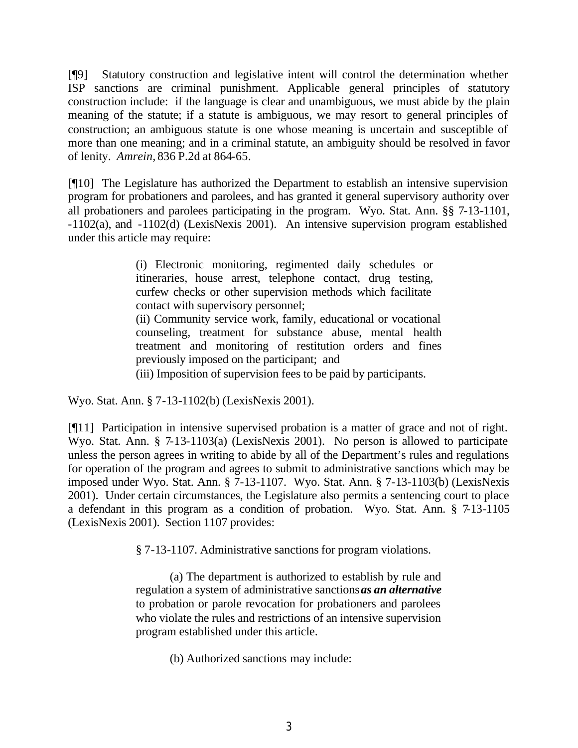[¶9] Statutory construction and legislative intent will control the determination whether ISP sanctions are criminal punishment. Applicable general principles of statutory construction include: if the language is clear and unambiguous, we must abide by the plain meaning of the statute; if a statute is ambiguous, we may resort to general principles of construction; an ambiguous statute is one whose meaning is uncertain and susceptible of more than one meaning; and in a criminal statute, an ambiguity should be resolved in favor of lenity. *Amrein,* 836 P.2d at 864-65.

[¶10] The Legislature has authorized the Department to establish an intensive supervision program for probationers and parolees, and has granted it general supervisory authority over all probationers and parolees participating in the program. Wyo. Stat. Ann. §§ 7-13-1101, -1102(a), and -1102(d) (LexisNexis 2001). An intensive supervision program established under this article may require:

> (i) Electronic monitoring, regimented daily schedules or itineraries, house arrest, telephone contact, drug testing, curfew checks or other supervision methods which facilitate contact with supervisory personnel;

(ii) Community service work, family, educational or vocational counseling, treatment for substance abuse, mental health treatment and monitoring of restitution orders and fines previously imposed on the participant; and

(iii) Imposition of supervision fees to be paid by participants.

Wyo. Stat. Ann. § 7-13-1102(b) (LexisNexis 2001).

[¶11] Participation in intensive supervised probation is a matter of grace and not of right. Wyo. Stat. Ann. § 7-13-1103(a) (LexisNexis 2001). No person is allowed to participate unless the person agrees in writing to abide by all of the Department's rules and regulations for operation of the program and agrees to submit to administrative sanctions which may be imposed under Wyo. Stat. Ann. § 7-13-1107. Wyo. Stat. Ann. § 7-13-1103(b) (LexisNexis 2001). Under certain circumstances, the Legislature also permits a sentencing court to place a defendant in this program as a condition of probation. Wyo. Stat. Ann. § 7-13-1105 (LexisNexis 2001). Section 1107 provides:

§ 7-13-1107. Administrative sanctions for program violations.

(a) The department is authorized to establish by rule and regulation a system of administrative sanctions *as an alternative* to probation or parole revocation for probationers and parolees who violate the rules and restrictions of an intensive supervision program established under this article.

(b) Authorized sanctions may include: